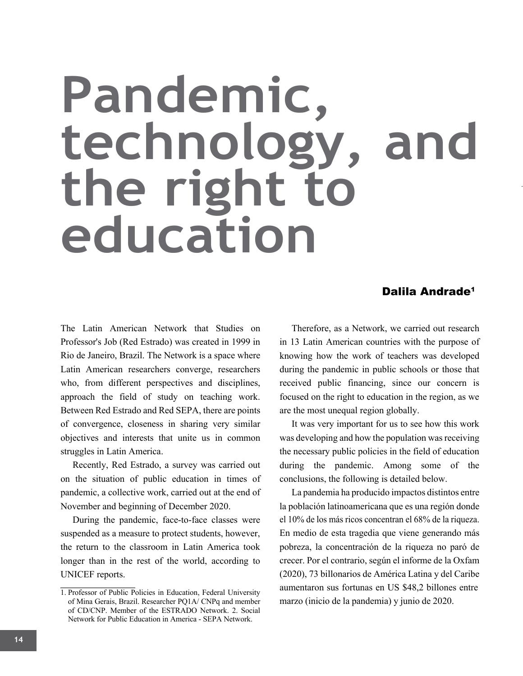## **Pandemic, technology, and the right to education**

## Dalila Andrade<sup>1</sup>

The Latin American Network that Studies on Professor's Job (Red Estrado) was created in 1999 in Rio de Janeiro, Brazil. The Network is a space where Latin American researchers converge, researchers who, from different perspectives and disciplines, approach the field of study on teaching work. Between Red Estrado and Red SEPA, there are points of convergence, closeness in sharing very similar objectives and interests that unite us in common struggles in Latin America.

Recently, Red Estrado, a survey was carried out on the situation of public education in times of pandemic, a collective work, carried out at the end of November and beginning of December 2020.

During the pandemic, face-to-face classes were suspended as a measure to protect students, however, the return to the classroom in Latin America took longer than in the rest of the world, according to UNICEF reports.

Therefore, as a Network, we carried out research in 13 Latin American countries with the purpose of knowing how the work of teachers was developed during the pandemic in public schools or those that received public financing, since our concern is focused on the right to education in the region, as we are the most unequal region globally.

It was very important for us to see how this work was developing and how the population was receiving the necessary public policies in the field of education during the pandemic. Among some of the conclusions, the following is detailed below.

La pandemia ha producido impactos distintos entre la población latinoamericana que es una región donde el 10% de los más ricos concentran el 68% de la riqueza. En medio de esta tragedia que viene generando más pobreza, la concentración de la riqueza no paró de crecer. Por el contrario, según el informe de la Oxfam (2020), 73 billonarios de América Latina y del Caribe aumentaron sus fortunas en US \$48,2 billones entre marzo (inicio de la pandemia) y junio de 2020.

<sup>1.</sup> Professor of Public Policies in Education, Federal University of Mina Gerais, Brazil. Researcher PQ1A/ CNPq and member of CD/CNP. Member of the ESTRADO Network. 2. Social Network for Public Education in America - SEPA Network.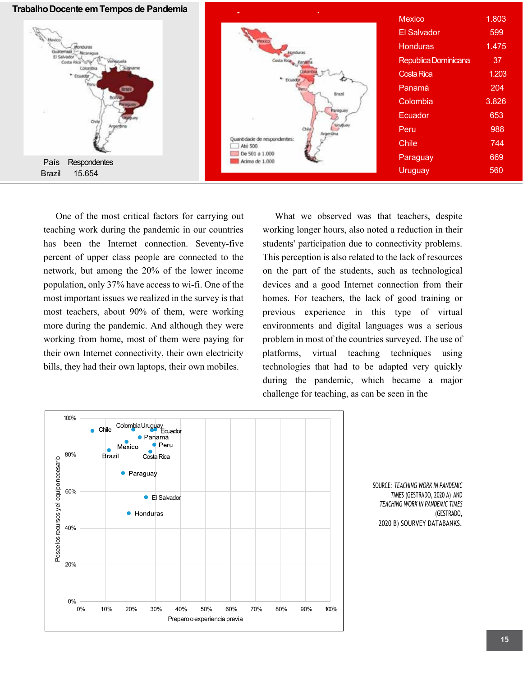

One of the most critical factors for carrying out teaching work during the pandemic in our countries has been the Internet connection. Seventy-five percent of upper class people are connected to the network, but among the 20% of the lower income population, only 37% have access to wi-fi. One of the most important issues we realized in the survey is that most teachers, about 90% of them, were working more during the pandemic. And although they were working from home, most of them were paying for their own Internet connectivity, their own electricity bills, they had their own laptops, their own mobiles.

What we observed was that teachers, despite working longer hours, also noted a reduction in their students' participation due to connectivity problems. This perception is also related to the lack of resources on the part of the students, such as technological devices and a good Internet connection from their homes. For teachers, the lack of good training or previous experience in this type of virtual environments and digital languages was a serious problem in most of the countries surveyed. The use of platforms, virtual teaching techniques using technologies that had to be adapted very quickly during the pandemic, which became a major challenge for teaching, as can be seen in the



SOURCE: *TEACHING WORK IN PANDEMIC TIMES* (GESTRADO, 2020 A) AND *TEACHING WORK IN PANDEMIC TIMES* (GESTRADO, 2020 B) SOURVEY DATABANKS.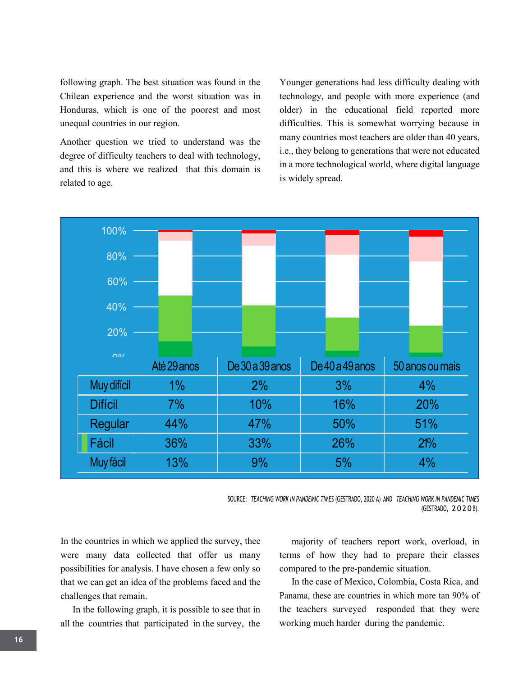following graph. The best situation was found in the Chilean experience and the worst situation was in Honduras, which is one of the poorest and most unequal countries in our region.

Another question we tried to understand was the degree of difficulty teachers to deal with technology, and this is where we realized that this domain is related to age.

Younger generations had less difficulty dealing with technology, and people with more experience (and older) in the educational field reported more difficulties. This is somewhat worrying because in many countries most teachers are older than 40 years, i.e., they belong to generations that were not educated in a more technological world, where digital language is widely spread.



SOURCE: *TEACHING WORK IN PANDEMIC TIMES* (GESTRADO, 2020 A) AND *TEACHING WORK IN PANDEMIC TIMES* (GESTRADO, 2020 B).

In the countries in which we applied the survey, thee were many data collected that offer us many possibilities for analysis. I have chosen a few only so that we can get an idea of the problems faced and the challenges that remain.

In the following graph, it is possible to see that in all the countries that participated in the survey, the

majority of teachers report work, overload, in terms of how they had to prepare their classes compared to the pre-pandemic situation.

In the case of Mexico, Colombia, Costa Rica, and Panama, these are countries in which more tan 90% of the teachers surveyed responded that they were working much harder during the pandemic.